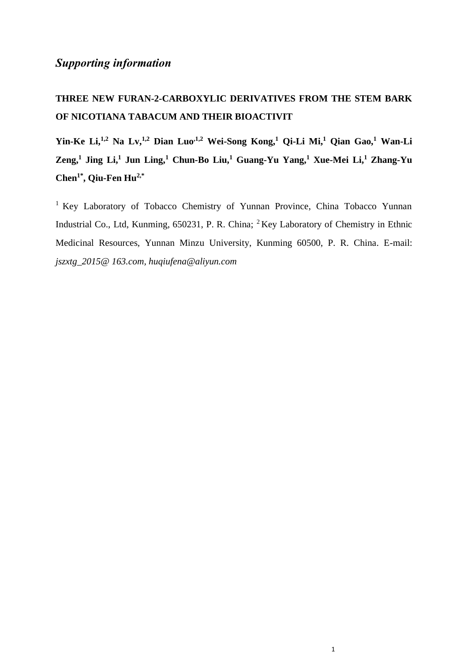## *Supporting information*

## **THREE NEW FURAN-2-CARBOXYLIC DERIVATIVES FROM THE STEM BARK OF NICOTIANA TABACUM AND THEIR BIOACTIVIT**

**Yin-Ke Li,1,2 Na Lv,1,2 Dian Luo,1,2 Wei-Song Kong,<sup>1</sup> Qi-Li Mi,<sup>1</sup> Qian Gao,<sup>1</sup> Wan-Li Zeng, 1 Jing Li, 1 Jun Ling,<sup>1</sup> Chun-Bo Liu,<sup>1</sup> Guang-Yu Yang,<sup>1</sup> Xue-Mei Li, <sup>1</sup> Zhang-Yu Chen1\* , Qiu-Fen Hu2,\***

<sup>1</sup> Key Laboratory of Tobacco Chemistry of Yunnan Province, China Tobacco Yunnan Industrial Co., Ltd, Kunming, 650231, P. R. China; <sup>2</sup>Key Laboratory of Chemistry in Ethnic Medicinal Resources, Yunnan Minzu University, Kunming 60500, P. R. China. E-mail: *[jszxtg\\_2015@ 163.com,](mailto:jszxtg_2015@163.com) huqiufena@aliyun.com*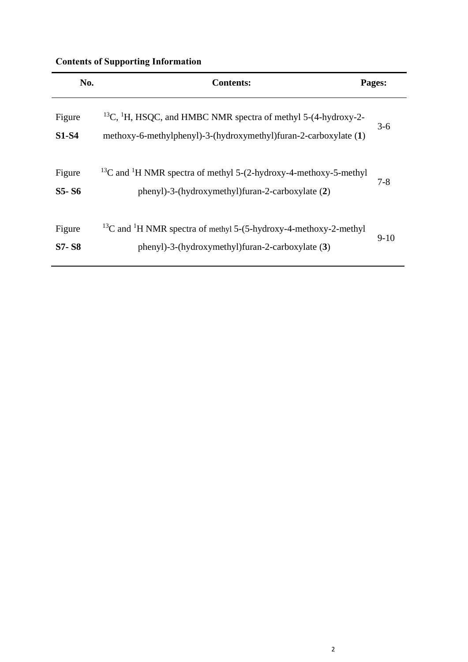## **Contents of Supporting Information**

| No.                    | <b>Contents:</b>                                                                                                                                          | Pages:  |
|------------------------|-----------------------------------------------------------------------------------------------------------------------------------------------------------|---------|
| Figure<br><b>S1-S4</b> | <sup>13</sup> C, <sup>1</sup> H, HSQC, and HMBC NMR spectra of methyl 5-(4-hydroxy-2-<br>methoxy-6-methylphenyl)-3-(hydroxymethyl)furan-2-carboxylate (1) | $3-6$   |
| Figure<br>S5-S6        | <sup>13</sup> C and <sup>1</sup> H NMR spectra of methyl 5-(2-hydroxy-4-methoxy-5-methyl<br>phenyl)-3-(hydroxymethyl)furan-2-carboxylate (2)              | $7 - 8$ |
| Figure<br><b>S7-S8</b> | $^{13}$ C and <sup>1</sup> H NMR spectra of methyl 5-(5-hydroxy-4-methoxy-2-methyl<br>phenyl)-3-(hydroxymethyl)furan-2-carboxylate (3)                    | $9-10$  |

÷.

 $\overline{\phantom{0}}$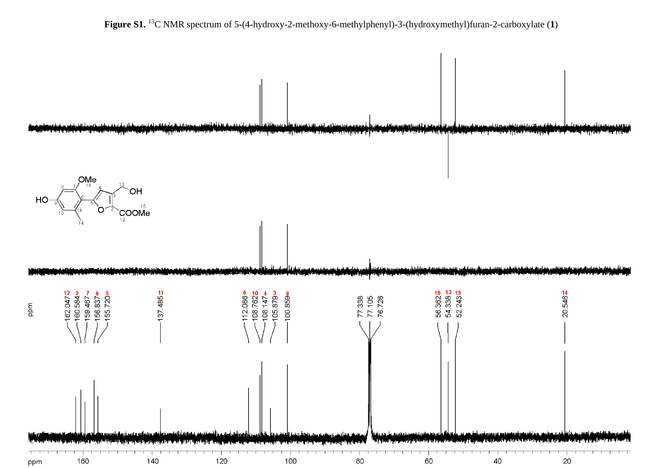**Figure S1.** <sup>13</sup>C NMR spectrum of 5-(4-hydroxy-2-methoxy-6-methylphenyl)-3-(hydroxymethyl)furan-2-carboxylate (**1**)

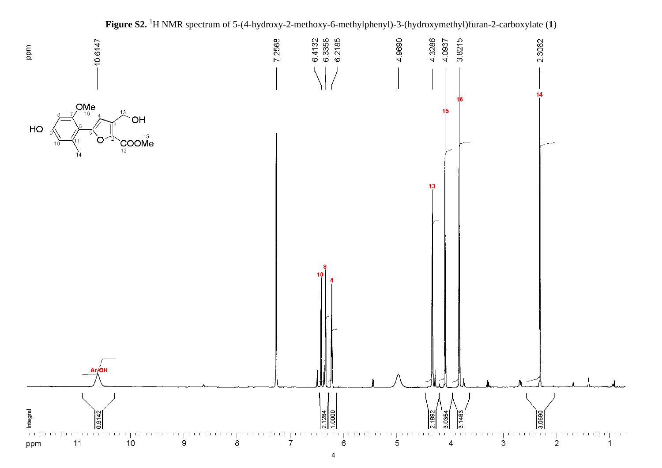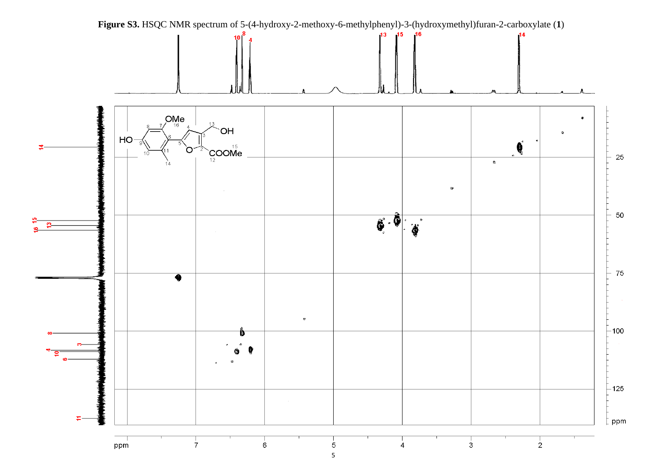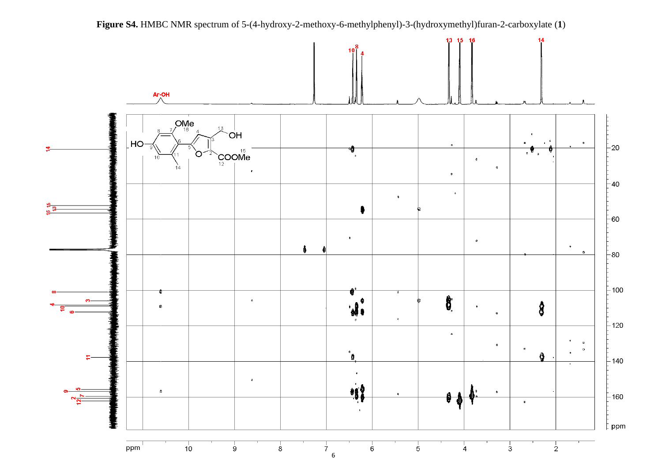

**Figure S4.** HMBC NMR spectrum of 5-(4-hydroxy-2-methoxy-6-methylphenyl)-3-(hydroxymethyl)furan-2-carboxylate (**1**)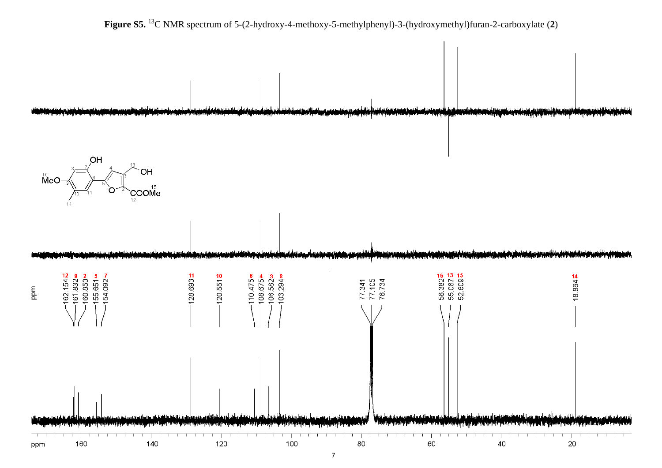



7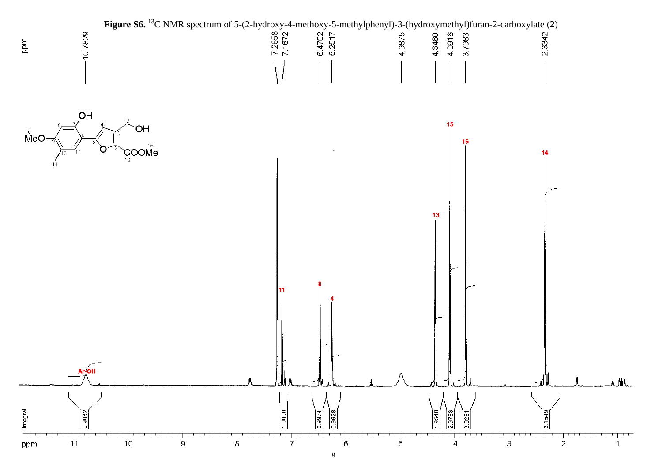

8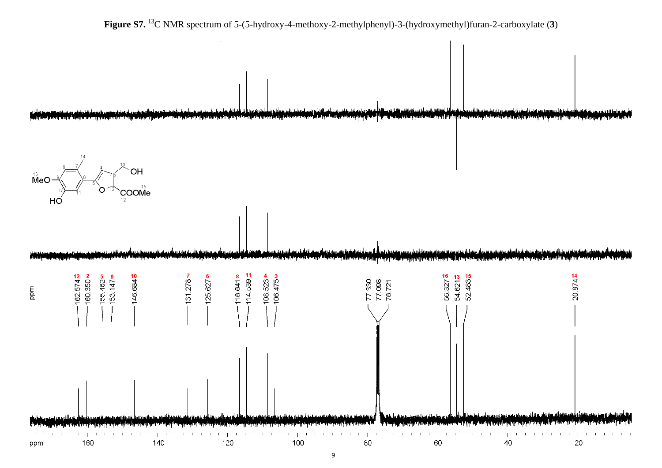